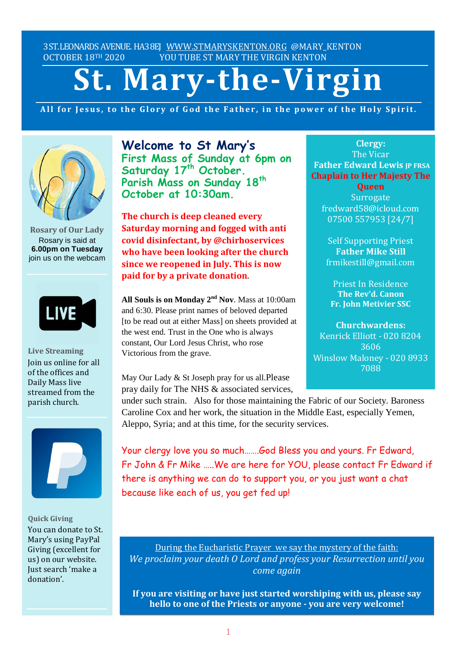3ST.LEONARDS AVENUE. HA38EJ [WWW.STMARYSKENTON.ORG](http://www.stmaryskenton.org/) @MARY\_KENTON OCTOBER 18TH 2020 YOU TUBE ST MARY THE VIRGIN KENTON

# **St. Mary-the-Virgin**

All for Jesus, to the Glory of God the Father, in the power of the Holy Spirit.



**Rosary of Our Lady** Rosary is said at **6.00pm on Tuesday** join us on the webcam



**Live Streaming** Join us online for all of the offices and Daily Mass live streamed from the parish church.



**Quick Giving** You can donate to St. Mary's using PayPal Giving (excellent for us) on our website. Just search 'make a donation'.

**Welcome to St Mary's First Mass of Sunday at 6pm on Saturday 17 th October. Parish Mass on Sunday 18 th October at 10:30am.**

**The church is deep cleaned every Saturday morning and fogged with anti covid disinfectant, by @chirhoservices who have been looking after the church since we reopened in July. This is now paid for by a private donation**.

**All Souls is on Monday 2 nd Nov**. Mass at 10:00am and 6:30. Please print names of beloved departed [to be read out at either Mass] on sheets provided at the west end. Trust in the One who is always constant, Our Lord Jesus Christ, who rose Victorious from the grave.

May Our Lady & St Joseph pray for us all.Please pray daily for The NHS & associated services,

**Clergy:** The Vicar **Father Edward Lewis IP FRSA Chaplain to Her Majesty The**

**Queen Surrogate** fredward58@icloud.com 07500 557953 [24/7]

Self Supporting Priest **Father Mike Still** frmikestill@gmail.com

Priest In Residence **The Rev'd. Canon Fr. John Metivier SSC**

**Churchwardens:** Kenrick Elliott - 020 8204 3606 Winslow Maloney - 020 8933 7088

*Please let Fr. Edward know*

*under such strain.* Also for those maintaining the Fabric of our Society. Baroness Caroline Cox and her work, the situation in the Middle East, especially Yemen, Aleppo, Syria; and at this time, for the security services.

Your clergy love you so much…….God Bless you and yours. Fr Edward, Fr John & Fr Mike …..We are here for YOU, please contact Fr Edward if there is anything we can do to support you, or you just want a chat because like each of us, you get fed up!

During the Eucharistic Prayer we say the mystery of the faith: *We proclaim your death O Lord and profess your Resurrection until you come again*

**If you are visiting or have just started worshiping with us, please say hello to one of the Priests or anyone - you are very welcome!**